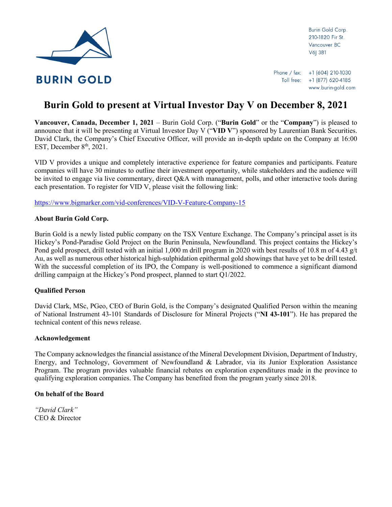

Burin Gold Corp. 210-1820 Fir St. Vancouver BC V6| 3B1

Phone / fax: +1 (604) 210-1030 Toll free: +1 (877) 620-4185 www.burin-gold.com

# **Burin Gold to present at Virtual Investor Day V on December 8, 2021**

**Vancouver, Canada, December 1, 2021** – Burin Gold Corp. ("**Burin Gold**" or the "**Company**") is pleased to announce that it will be presenting at Virtual Investor Day V ("**VID V**") sponsored by Laurentian Bank Securities. David Clark, the Company's Chief Executive Officer, will provide an in-depth update on the Company at 16:00 EST, December 8<sup>th</sup>, 2021.

VID V provides a unique and completely interactive experience for feature companies and participants. Feature companies will have 30 minutes to outline their investment opportunity, while stakeholders and the audience will be invited to engage via live commentary, direct Q&A with management, polls, and other interactive tools during each presentation. To register for VID V, please visit the following link:

<https://www.bigmarker.com/vid-conferences/VID-V-Feature-Company-15>

## **About Burin Gold Corp.**

Burin Gold is a newly listed public company on the TSX Venture Exchange. The Company's principal asset is its Hickey's Pond-Paradise Gold Project on the Burin Peninsula, Newfoundland. This project contains the Hickey's Pond gold prospect, drill tested with an initial 1,000 m drill program in 2020 with best results of 10.8 m of 4.43 g/t Au, as well as numerous other historical high-sulphidation epithermal gold showings that have yet to be drill tested. With the successful completion of its IPO, the Company is well-positioned to commence a significant diamond drilling campaign at the Hickey's Pond prospect, planned to start Q1/2022.

## **Qualified Person**

David Clark, MSc, PGeo, CEO of Burin Gold, is the Company's designated Qualified Person within the meaning of National Instrument 43-101 Standards of Disclosure for Mineral Projects ("**NI 43-101**"). He has prepared the technical content of this news release.

#### **Acknowledgement**

The Company acknowledges the financial assistance of the Mineral Development Division, Department of Industry, Energy, and Technology, Government of Newfoundland & Labrador, via its Junior Exploration Assistance Program. The program provides valuable financial rebates on exploration expenditures made in the province to qualifying exploration companies. The Company has benefited from the program yearly since 2018.

### **On behalf of the Board**

*"David Clark"* CEO & Director